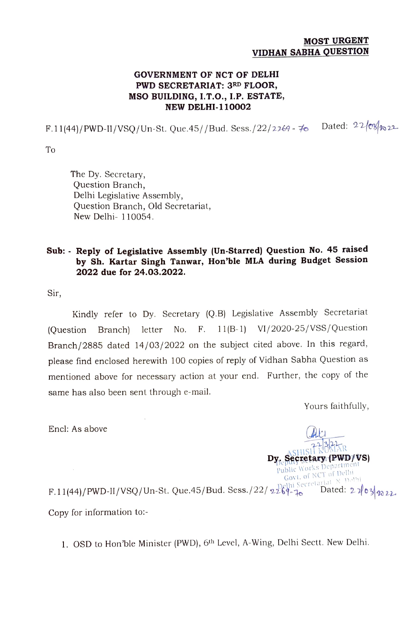## MOST URGENT VIDHAN SABHA QUESTION

## GOVERNMENT OF NCT OF DELHI PWD SECRETARIAT: 3RD FLOOR, MSO BUILDING, I.T.O., I.P. ESTATE, NEW DELHI-110002

F.11(44)/PWD-II/VSQ/Un-St. Que.45//Bud. Sess./22/2269 - 70 Dated:  $22$ /es/ $n_{22}$ 

To

The Dy. Secretary, Question Branch, Delhi Legislative Assembly, Question Branch, Old Secretariat, New Delhi- 110054.

## Sub: Reply of Legislative Assembly (Un-Starred) Question No. 45 raised by Sh. Kartar Singh Tanwar, Hon'ble MLA during Budget Session 2022 due for 24.03.2022.

Sir,

Kindly refer to Dy. Secretary (Q.B) Legislative Assembly Secretariat (Question Branch) letter No. F. 11(B-1) VI/2020-25/VSS/Question Branch/2885 dated 14/03/2022 on the subject cited above. In this regard, please find enclosed herewith 100 copies of reply of Vidhan Sabha Question as mentioned above for necessary action at your end. Further, the copy of the same has also been sent through e-mail.

Yours faithfully,

Encl: As above

**A SHISH KUM** Dy. Secretary (PWD/VS) Govt. of NCT of Delhi F.11(44)/PWD-II/VSQ/Un-St. Que.45/Bud. Sess.  $/22/\sqrt{2269 - 76}$  Dated:  $2 \sqrt{03/\sqrt{22}}$ 

Copy for information to:

1. OSD to Hon'ble Minister (PWD), 6th Level, A-Wing, Delhi Sectt. New Delhi.